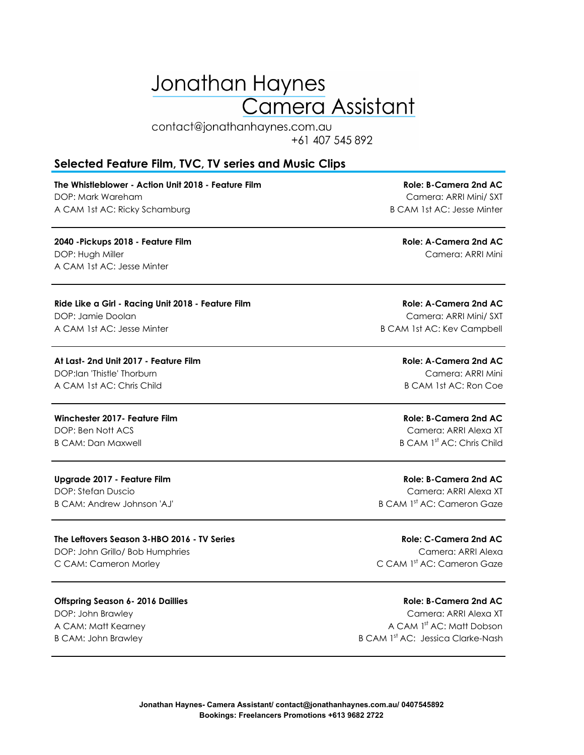# Jonathan Haynes **Camera Assistant**

contact@jonathanhaynes.com.au +61 407 545 892

### **Selected Feature Film, TVC, TV series and Music Clips**

**The Whistleblower - Action Unit 2018 - Feature Film Role: B-Camera 2nd AC** DOP: Mark Wareham Camera: ARRI Mini/ SXT A CAM 1st AC: Ricky Schamburg **B CAM 1st AC: Jesse Minter** 

**2040 -Pickups 2018 - Feature Film Role: A-Camera 2nd AC** DOP: Hugh Miller Camera: ARRI Mini A CAM 1st AC: Jesse Minter

**Ride Like a Girl - Racing Unit 2018 - Feature Film Role: A-Camera 2nd AC** DOP: Jamie Doolan Camera: ARRI Mini/ SXT A CAM 1st AC: Jesse Minter **B CAM 1st AC: Kev Campbell** 

**At Last- 2nd Unit 2017 - Feature Film Role: A-Camera 2nd AC**

A CAM 1st AC: Chris Child B CAM 1st AC: Ron Coe

**Winchester 2017- Feature Film Role: B-Camera 2nd AC** DOP: Ben Nott ACS Camera: ARRI Alexa XT B CAM: Dan Maxwell B CAM 1<sup>st</sup> AC: Chris Child

#### **The Leftovers Season 3-HBO 2016 - TV Series Role: C-Camera 2nd AC**

**Offspring Season 6- 2016 Daillies Role: B-Camera 2nd AC** DOP: John Brawley Camera: ARRI Alexa XT

DOP:Ian 'Thistle' Thorburn Camera: ARRI Mini

**Upgrade 2017 - Feature Film Role: B-Camera 2nd AC** DOP: Stefan Duscio Camera: ARRI Alexa XT B CAM: Andrew Johnson 'AJ' B CAM 1st AC: Cameron Gaze

DOP: John Grillo/ Bob Humphries Camera: ARRI Alexa C CAM: Cameron Morley C CAM 1st AC: Cameron Gaze

A CAM: Matt Kearney A CAM 1st Action of A CAM 1st AC: Matt Dobson B CAM: John Brawley **B CAM 1st Ac: Jessica Clarke-Nash**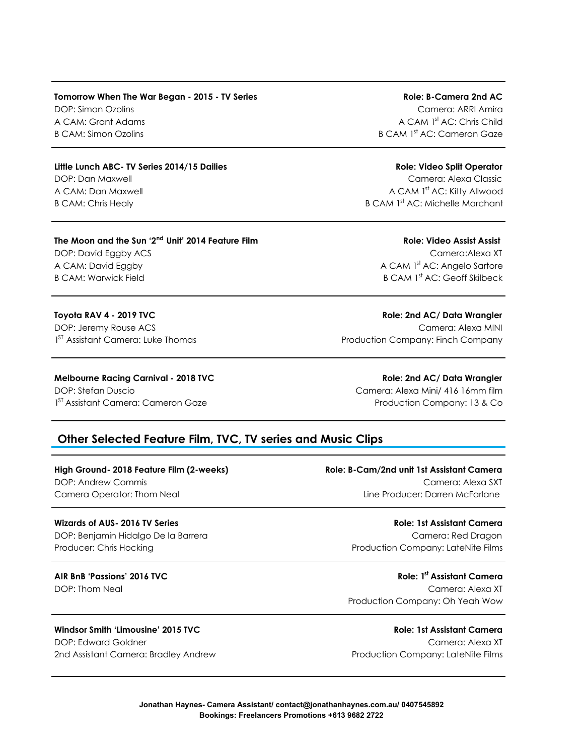### **Tomorrow When The War Began - 2015 - TV Series Role: Role: B-Camera 2nd AC** DOP: Simon Ozolins Camera: ARRI Amira A CAM: Grant Adams A Camera A CAM 1st Ac: Chris Child B CAM: Simon Ozolins B CAM 1st AC: Cameron Gaze

#### **Little Lunch ABC- TV Series 2014/15 Dailies Role: Video Split Operator**

#### **The Moon and the Sun '2nd Unit' 2014 Feature Film Role: Video Assist Assist**

B CAM: Warwick Field **B CAM 1st Actual B CAM 1st AC: Geoff Skilbeck** 

1<sup>ST</sup> Assistant Camera: Luke Thomas

DOP: Dan Maxwell Camera: Alexa Classic A CAM: Dan Maxwell A Camera A CAM 1st AC: Kitty Allwood B CAM: Chris Healy B CAM 1<sup>st</sup> AC: Michelle Marchant

## DOP: David Eggby ACS Camera:Alexa XT A CAM: David Eggby A Camera Camera A CAM 1st AC: Angelo Sartore

**Toyota RAV 4 - 2019 TVC Role: 2nd AC/ Data Wrangler** DOP: Jeremy Rouse ACS Camera: Alexa MINI Production Company: Finch Company

### **Melbourne Racing Carnival - 2018 TVC Role: 2nd AC/ Data Wrangler**

DOP: Stefan Duscio Camera: Alexa Mini/ 416 16mm film 1<sup>ST</sup> Assistant Camera: Cameron Gaze **Production Company: 13 & Co** 

### **Other Selected Feature Film, TVC, TV series and Music Clips**

#### **High Ground- 2018 Feature Film (2-weeks) Role: B-Cam/2nd unit 1st Assistant Camera**

DOP: Benjamin Hidalgo De la Barrera Camera: Red Dragon Camera: Red Dragon Producer: Chris Hocking Production Company: LateNite Films

#### **Windsor Smith 'Limousine' 2015 TVC Role: 1st Assistant Camera**

DOP: Edward Goldner Camera: Alexa XT 2nd Assistant Camera: Bradley Andrew Production Company: LateNite Films

## DOP: Andrew Commis Camera: Alexa SXT Camera Operator: Thom Neal Line Producer: Darren McFarlane

**Wizards of AUS- 2016 TV Series Role: 1st Assistant Camera**

**AIR BnB 'Passions' 2016 TVC Role: 1st Assistant Camera**  DOP: Thom Neal Camera: Alexa XT Production Company: Oh Yeah Wow

**Jonathan Haynes- Camera Assistant/ contact@jonathanhaynes.com.au/ 0407545892 Bookings: Freelancers Promotions +613 9682 2722**